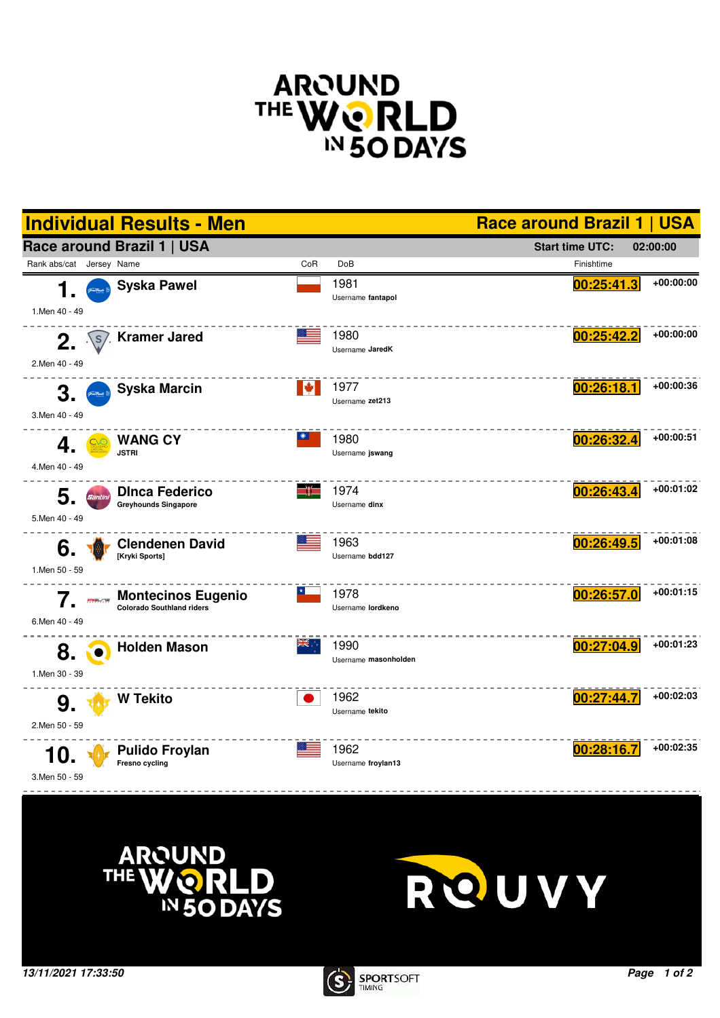